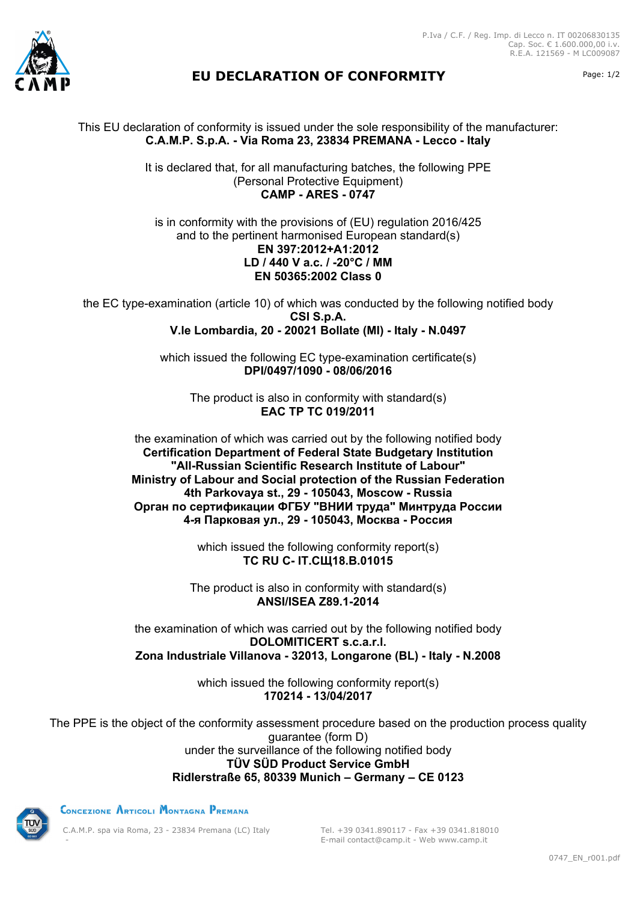



## **EU DECLARATION OF CONFORMITY** Page: 1/2

This EU declaration of conformity is issued under the sole responsibility of the manufacturer: **C.A.M.P. S.p.A. - Via Roma 23, 23834 PREMANA - Lecco - Italy**

> It is declared that, for all manufacturing batches, the following PPE (Personal Protective Equipment) **CAMP - ARES - 0747**

is in conformity with the provisions of (EU) regulation 2016/425 and to the pertinent harmonised European standard(s) **EN 397:2012+A1:2012 LD / 440 V a.c. / -20°C / MM EN 50365:2002 Class 0**

the EC type-examination (article 10) of which was conducted by the following notified body **CSI S.p.A. V.le Lombardia, 20 - 20021 Bollate (MI) - Italy - N.0497**

> which issued the following EC type-examination certificate(s) **DPI/0497/1090 - 08/06/2016**

The product is also in conformity with standard(s) **EAC TP TC 019/2011**

the examination of which was carried out by the following notified body **Certification Department of Federal State Budgetary Institution "All-Russian Scientific Research Institute of Labour" Ministry of Labour and Social protection of the Russian Federation 4th Parkovaya st., 29 - 105043, Moscow - Russia Орган по сертификации ФГБУ "ВНИИ труда" Минтруда России 4-я Парковая ул., 29 - 105043, Москва - Россия**

> which issued the following conformity report(s) **ТС RU C- IT.СЩ18.В.01015**

The product is also in conformity with standard(s) **ANSI/ISEA Z89.1-2014**

the examination of which was carried out by the following notified body **DOLOMITICERT s.c.a.r.l. Zona Industriale Villanova - 32013, Longarone (BL) - Italy - N.2008**

> which issued the following conformity report(s) **170214 - 13/04/2017**

The PPE is the object of the conformity assessment procedure based on the production process quality guarantee (form D) under the surveillance of the following notified body **TÜV SÜD Product Service GmbH Ridlerstraße 65, 80339 Munich – Germany – CE 0123**



CONCEZIONE ARTICOLI MONTAGNA PREMANA

C.A.M.P. spa via Roma, 23 - 23834 Premana (LC) Italy -

Tel. +39 0341.890117 - Fax +39 0341.818010 E-mail contact@camp.it - Web www.camp.it